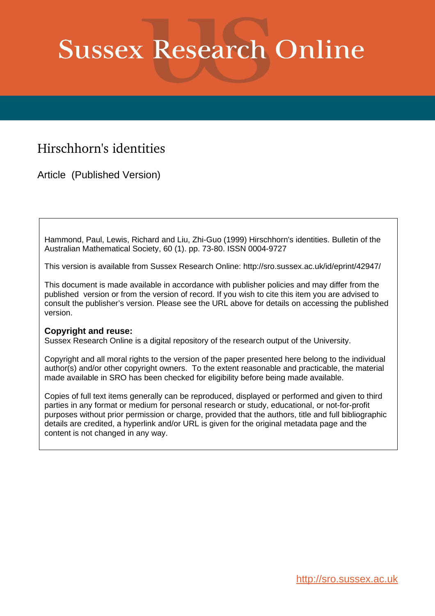# **Sussex Research Online**

## Hirschhorn's identities

Article (Published Version)

Hammond, Paul, Lewis, Richard and Liu, Zhi-Guo (1999) Hirschhorn's identities. Bulletin of the Australian Mathematical Society, 60 (1). pp. 73-80. ISSN 0004-9727

This version is available from Sussex Research Online: http://sro.sussex.ac.uk/id/eprint/42947/

This document is made available in accordance with publisher policies and may differ from the published version or from the version of record. If you wish to cite this item you are advised to consult the publisher's version. Please see the URL above for details on accessing the published version.

### **Copyright and reuse:**

Sussex Research Online is a digital repository of the research output of the University.

Copyright and all moral rights to the version of the paper presented here belong to the individual author(s) and/or other copyright owners. To the extent reasonable and practicable, the material made available in SRO has been checked for eligibility before being made available.

Copies of full text items generally can be reproduced, displayed or performed and given to third parties in any format or medium for personal research or study, educational, or not-for-profit purposes without prior permission or charge, provided that the authors, title and full bibliographic details are credited, a hyperlink and/or URL is given for the original metadata page and the content is not changed in any way.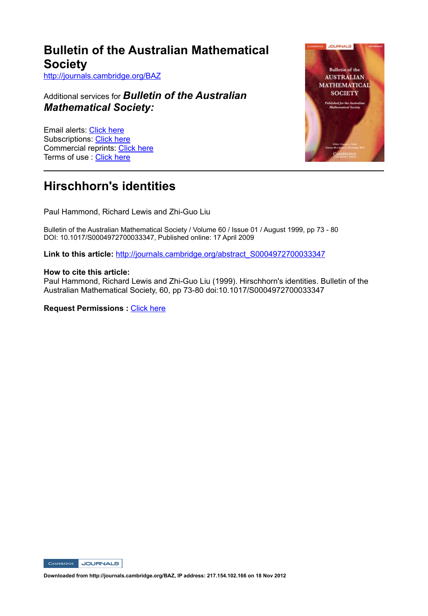## **Bulletin of the Australian Mathematical Society**

http://journals.cambridge.org/BAZ

Additional services for *Bulletin of the Australian Mathematical Society:*

Email alerts: Click here Subscriptions: Click here Commercial reprints: Click here Terms of use : Click here



## **Hirschhorn's identities**

Paul Hammond, Richard Lewis and Zhi-Guo Liu

Bulletin of the Australian Mathematical Society / Volume 60 / Issue 01 / August 1999, pp 73 - 80 DOI: 10.1017/S0004972700033347, Published online: 17 April 2009

**Link to this article:** http://journals.cambridge.org/abstract\_S0004972700033347

#### **How to cite this article:**

Paul Hammond, Richard Lewis and Zhi-Guo Liu (1999). Hirschhorn's identities. Bulletin of the Australian Mathematical Society, 60, pp 73-80 doi:10.1017/S0004972700033347

**Request Permissions : Click here** 



**Downloaded from http://journals.cambridge.org/BAZ, IP address: 217.154.102.166 on 18 Nov 2012**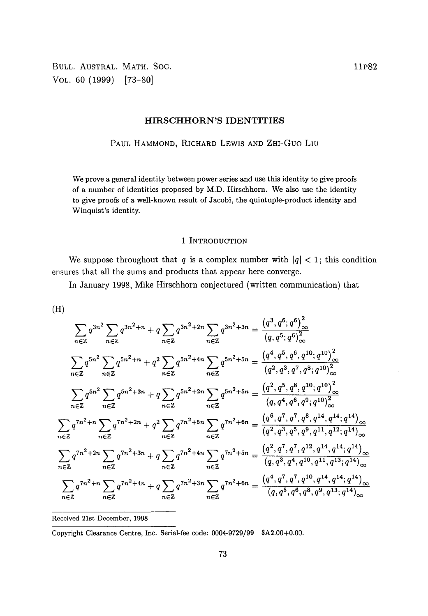BULL. AUSTRAL. MATH. SOC. 11P82 VOL. 60 (1999) [73-80]

#### **HIRSCHHORN'S IDENTITIES**

PAUL HAMMOND, RICHARD LEWIS AND ZHI-GUO LIU

We prove a general identity between power series and use this identity to give proofs of a number of identities proposed by M.D. Hirschhorn. We also use the identity to give proofs of a well-known result of Jacobi, the quintuple-product identity and Winquist's identity.

#### 1 INTRODUCTION

We suppose throughout that *q* is a complex number with  $|q| < 1$ ; this condition ensures that all the sums and products that appear here converge.

In January 1998, Mike Hirschhorn conjectured (written communication) that

$$
(\mathrm{H})
$$

$$
\sum_{n\in\mathbb{Z}} q^{3n^2} \sum_{n\in\mathbb{Z}} q^{3n^2+n} + q \sum_{n\in\mathbb{Z}} q^{3n^2+2n} \sum_{n\in\mathbb{Z}} q^{3n^2+3n} = \frac{(q^3, q^6, q^6)_{\infty}^2}{(q, q^5, q^6)_{\infty}^2}
$$
\n
$$
\sum_{n\in\mathbb{Z}} q^{5n^2} \sum_{n\in\mathbb{Z}} q^{5n^2+n} + q^2 \sum_{n\in\mathbb{Z}} q^{5n^2+4n} \sum_{n\in\mathbb{Z}} q^{5n^2+5n} = \frac{(q^4, q^5, q^6, q^{10}, q^{10})_{\infty}^2}{(q^2, q^3, q^7, q^8, q^{10})_{\infty}^2}
$$
\n
$$
\sum_{n\in\mathbb{Z}} q^{5n^2} \sum_{n\in\mathbb{Z}} q^{5n^2+3n} + q \sum_{n\in\mathbb{Z}} q^{5n^2+2n} \sum_{n\in\mathbb{Z}} q^{5n^2+5n} = \frac{(q^2, q^5, q^8, q^{10}, q^{10})_{\infty}^2}{(q, q^4, q^6, q^9, q^{10})_{\infty}^2}
$$
\n
$$
\sum_{n\in\mathbb{Z}} q^{7n^2+n} \sum_{n\in\mathbb{Z}} q^{7n^2+2n} + q^2 \sum_{n\in\mathbb{Z}} q^{7n^2+5n} \sum_{n\in\mathbb{Z}} q^{7n^2+6n} = \frac{(q^6, q^7, q^7, q^8, q^{14}, q^{14}, q^{14})_{\infty}^2}{(q^2, q^3, q^5, q^9, q^{11}, q^{12}, q^{14})_{\infty}^2}
$$
\n
$$
\sum_{n\in\mathbb{Z}} q^{7n^2+2n} \sum_{n\in\mathbb{Z}} q^{7n^2+3n} + q \sum_{n\in\mathbb{Z}} q^{7n^2+4n} \sum_{n\in\mathbb{Z}} q^{7n^2+5n} = \frac{(q^2, q^7, q^7, q^{12}, q^{14}, q^{14}, q^{14})_{
$$

Received 21st December, 1998

Copyright Clearance Centre, Inc. Serial-fee code: 0004-9729/99 SA2.00+0.00.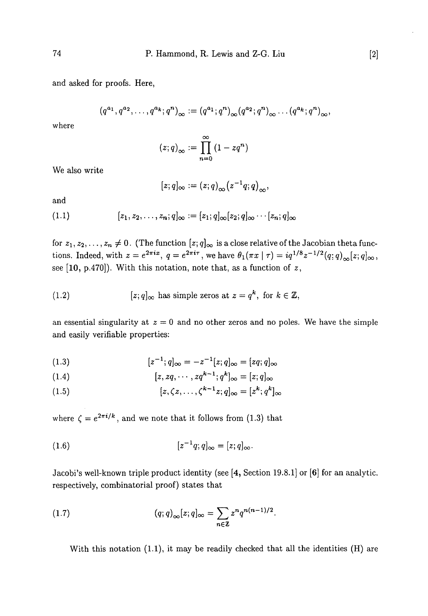and asked for proofs. Here,

$$
(q^{a_1}, q^{a_2}, \ldots, q^{a_k}; q^n)_{\infty} := (q^{a_1}; q^n)_{\infty} (q^{a_2}; q^n)_{\infty} \ldots (q^{a_k}; q^n)_{\infty},
$$

where

$$
(z;q)_{\infty} := \prod_{n=0}^{\infty} (1 - zq^n)
$$

We also write

$$
[z;q]_{\infty}:=(z;q)_{\infty}(z^{-1}q;q)_{\infty},
$$

and

$$
(1.1) \t\t\t [z_1, z_2, \ldots, z_n; q]_{\infty} := [z_1; q]_{\infty} [z_2; q]_{\infty} \cdots [z_n; q]_{\infty}
$$

for  $z_1, z_2, \ldots, z_n \neq 0$ . (The function  $[z; q]_\infty$  is a close relative of the Jacobian theta functions. Indeed, with  $z = e^{2\pi i x}$ ,  $q = e^{2\pi i \tau}$ , we have  $\theta_1(\pi x | \tau) = iq^{1/8}z^{-1/2}(q; q)_{\infty}[z; q]_{\infty}$ , see [10, p.470]). With this notation, note that, as a function of *z,*

(1.2) 
$$
[z; q]_{\infty} \text{ has simple zeros at } z = q^k, \text{ for } k \in \mathbb{Z},
$$

an essential singularity at  $z = 0$  and no other zeros and no poles. We have the simple and easily verifiable properties:

(1.3) 
$$
[z^{-1}; q]_{\infty} = -z^{-1}[z; q]_{\infty} = [zq; q]_{\infty}
$$

$$
(1.4) \qquad [z, zq, \cdots, zq^{k-1}; q^k]_{\infty} = [z; q]_{\infty}
$$

$$
(1.5) \t\t\t\t [z,\zeta z,\ldots,\zeta^{k-1}z;q]_{\infty}=[z^k;q^k]_{\infty}
$$

where  $\zeta = e^{2\pi i/k}$ , and we note that it follows from (1.3) that

$$
(1.6) \t\t\t\t [z^{-1}q;q]_{\infty} = [z;q]_{\infty}.
$$

Jacobi's well-known triple product identity (see [4, Section 19.8.1] or [6] for an analytic, respectively, combinatorial proof) states that

(1.7) 
$$
(q;q)_{\infty}[z;q]_{\infty} = \sum_{n \in \mathbb{Z}} z^n q^{n(n-1)/2}.
$$

With this notation (1.1), it may be readily checked that all the identities (H) are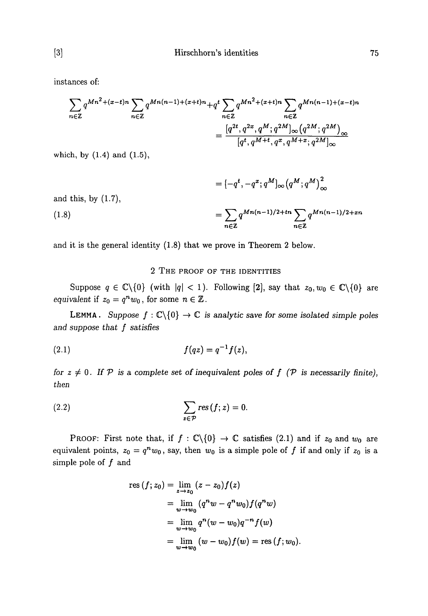instances of:

$$
\sum_{n \in \mathbb{Z}} q^{Mn^2 + (x-t)n} \sum_{n \in \mathbb{Z}} q^{Mn(n-1) + (x+t)n} + q^t \sum_{n \in \mathbb{Z}} q^{Mn^2 + (x+t)n} \sum_{n \in \mathbb{Z}} q^{Mn(n-1) + (x-t)n}
$$

$$
= \frac{[q^{2t}, q^{2x}, q^M; q^{2M}]_{\infty} (q^{2M}; q^{2M})_{\infty}}{[q^t, q^{M+t}, q^x, q^{M+x}; q^{2M}]_{\infty}}
$$

which, by (1.4) and (1.5),

$$
= [-q^{t}, -q^{x}; q^{M}]_{\infty} (q^{M}; q^{M})_{\infty}^{2}
$$
  
and this, by (1.7),  

$$
= \sum_{n \in \mathbb{Z}} q^{Mn(n-1)/2 + tn} \sum_{n \in \mathbb{Z}} q^{Mn(n-1)/2 + xr}
$$

and it is the general identity (1.8) that we prove in Theorem 2 below.

#### 2 THE PROOF OF THE IDENTITIES

Suppose  $q \in \mathbb{C} \setminus \{0\}$  (with  $|q| < 1$ ). Following [2], say that  $z_0, w_0 \in \mathbb{C} \setminus \{0\}$  are *equivalent* if  $z_0 = q^n w_0$ , for some  $n \in \mathbb{Z}$ .

**LEMMA.** Suppose  $f : \mathbb{C} \setminus \{0\} \to \mathbb{C}$  is analytic save for some isolated simple poles *and suppose that f satisfies*

(2.1) 
$$
f(qz) = q^{-1}f(z),
$$

*for*  $z \neq 0$ . If  $P$  is a complete set of inequivalent poles of  $f(P)$  is necessarily finite), *then*

(2.2) 
$$
\sum_{z \in \mathcal{P}} \text{res}(f; z) = 0.
$$

PROOF: First note that, if  $f : \mathbb{C}\backslash\{0\} \to \mathbb{C}$  satisfies (2.1) and if  $z_0$  and  $w_0$  are equivalent points,  $z_0 = q^n w_0$ , say, then  $w_0$  is a simple pole of f if and only if  $z_0$  is a simple pole of  $f$  and

res 
$$
(f; z_0)
$$
 =  $\lim_{z \to z_0} (z - z_0) f(z)$   
\n=  $\lim_{w \to w_0} (q^n w - q^n w_0) f(q^n w)$   
\n=  $\lim_{w \to w_0} q^n (w - w_0) q^{-n} f(w)$   
\n=  $\lim_{w \to w_0} (w - w_0) f(w)$  = res  $(f; w_0)$ .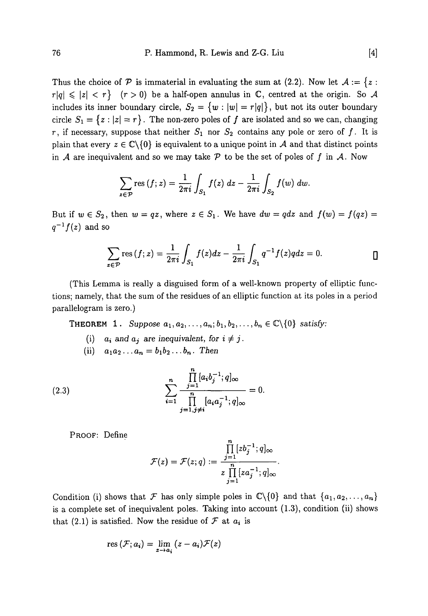Thus the choice of  $P$  is immaterial in evaluating the sum at (2.2). Now let  $A := \{z :$  $r|q| \leq |z| < r$ } ( $r > 0$ ) be a half-open annulus in C, centred at the origin. So A includes its inner boundary circle,  $S_2 = \{w : |w| = r|q|\}$ , but not its outer boundary circle  $S_1 = \{z : |z| = r\}$ . The non-zero poles of f are isolated and so we can, changing *r*, if necessary, suppose that neither  $S_1$  nor  $S_2$  contains any pole or zero of f. It is plain that every  $z \in \mathbb{C} \backslash \{0\}$  is equivalent to a unique point in A and that distinct points in A are inequivalent and so we may take  $P$  to be the set of poles of  $f$  in  $A$ . Now

$$
\sum_{z \in \mathcal{P}} \text{res}(f; z) = \frac{1}{2\pi i} \int_{S_1} f(z) \, dz - \frac{1}{2\pi i} \int_{S_2} f(w) \, dw
$$

But if  $w \in S_2$ , then  $w = qz$ , where  $z \in S_1$ . We have  $dw = qdz$  and  $f(w) = f(qz)$  $q^{-1}f(z)$  and so

$$
\sum_{z \in \mathcal{P}} \text{res}(f; z) = \frac{1}{2\pi i} \int_{S_1} f(z) dz - \frac{1}{2\pi i} \int_{S_1} q^{-1} f(z) q dz = 0.
$$

(This Lemma is really a disguised form of a well-known property of elliptic functions; namely, that the sum of the residues of an elliptic function at its poles in a period parallelogram is zero.)

**THEOREM 1.** Suppose  $a_1, a_2, \ldots, a_n; b_1, b_2, \ldots, b_n \in \mathbb{C} \setminus \{0\}$  satisfy:

- (i)  $a_i$  and  $a_j$  are inequivalent, for  $i \neq j$ .
- (ii)  $a_1 a_2 ... a_n = b_1 b_2 ... b_n$ . Then

(2.3) 
$$
\sum_{i=1}^{n} \frac{\prod_{j=1}^{n} [a_i b_j^{-1}; q]_{\infty}}{\prod_{j=1, j \neq i}^{n} [a_i a_j^{-1}; q]_{\infty}} = 0.
$$

PROOF: Define

$$
\mathcal{F}(z) = \mathcal{F}(z;q) := \frac{\prod_{j=1}^{n} [zb_j^{-1};q]_{\infty}}{z \prod_{j=1}^{n} [za_j^{-1};q]_{\infty}}.
$$

Condition (i) shows that F has only simple poles in  $\mathbb{C}\backslash\{0\}$  and that  $\{a_1, a_2, \ldots, a_n\}$ is a complete set of inequivalent poles. Taking into account (1.3), condition (ii) shows that (2.1) is satisfied. Now the residue of  $\mathcal F$  at  $a_i$  is

$$
res(\mathcal{F};a_i) = \lim_{z \to a_i} (z - a_i) \mathcal{F}(z)
$$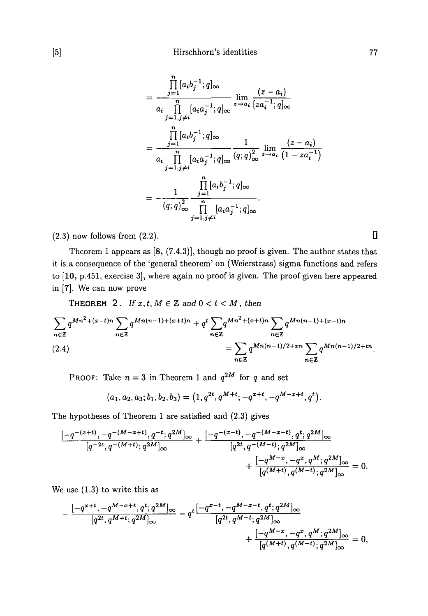$$
= \frac{\prod_{j=1}^{n} [a_{i}b_{j}^{-1}; q]_{\infty}}{a_{i} \prod_{j=1, j\neq i}^{n} [a_{i}a_{j}^{-1}; q]_{\infty}} \lim_{z \to a_{i}} \frac{(z - a_{i})}{[z a_{i}^{-1}; q]_{\infty}}
$$
  

$$
= \frac{\prod_{j=1}^{n} [a_{i}b_{j}^{-1}; q]_{\infty}}{a_{i} \prod_{j=1, j\neq i}^{n} [a_{i}a_{j}^{-1}; q]_{\infty}} \frac{1}{(q; q)_{\infty}^{2}} \lim_{z \to a_{i}} \frac{(z - a_{i})}{(1 - za_{i}^{-1})}
$$
  

$$
= -\frac{1}{(q; q)_{\infty}^{2}} \frac{\prod_{j=1}^{n} [a_{i}b_{j}^{-1}; q]_{\infty}}{\prod_{j=1, j\neq i}^{n} [a_{i}a_{j}^{-1}; q]_{\infty}}.
$$

 $(2.3)$  now follows from  $(2.2)$ .

Theorem 1 appears as [8, (7.4.3)], though no proof is given. The author states that it is a consequence of the 'general theorem' on (Weierstrass) sigma functions and refers to [10, p.451, exercise 3], where again no proof is given. The proof given here appeared in [7]. We can now prove

THEOREM 2. If 
$$
x, t, M \in \mathbb{Z}
$$
 and  $0 < t < M$ , then  
\n
$$
\sum_{n \in \mathbb{Z}} q^{Mn^2 + (x-t)n} \sum_{n \in \mathbb{Z}} q^{Mn(n-1) + (x+t)n} + q^t \sum_{n \in \mathbb{Z}} q^{Mn^2 + (x+t)n} \sum_{n \in \mathbb{Z}} q^{Mn(n-1) + (x-t)n}
$$
\n(2.4)\n
$$
= \sum_{n \in \mathbb{Z}} q^{Mn(n-1)/2 + xn} \sum_{n \in \mathbb{Z}} q^{Mn(n-1)/2 + tn}
$$

PROOF: Take  $n = 3$  in Theorem 1 and  $q^{2M}$  for q and set

$$
(a_1, a_2, a_3; b_1, b_2, b_3) = (1, q^{2t}, q^{M+t}; -q^{x+t}, -q^{M-x+t}, q^t).
$$

The hypotheses of Theorem 1 are satisfied and (2.3) gives

$$
\frac{[-q^{-(x+t)},-q^{-(M-x+t)},q^{-t};q^{2M}]_{\infty}}{[q^{-2t},q^{-(M+t)};q^{2M}]_{\infty}}+\frac{[-q^{-(x-t)},-q^{-(M-x-t)},q^{t};q^{2M}]_{\infty}}{[q^{2t},q^{-(M-t)};q^{2M}]_{\infty}}+\frac{[-q^{M-x},-q^{x},q^{M};q^{2M}]_{\infty}}{[q^{(M+t)},q^{(M-t)};q^{2M}]_{\infty}}=0.
$$

We use (1.3) to write this as

$$
\begin{aligned} &-\frac{[-q^{x+t},-q^{M-x+t},q^t;q^{2M}]_\infty}{[q^{2t},q^{M+t};q^{2M}]_\infty}-q^t\frac{[-q^{x-t},-q^{M-x-t},q^t;q^{2M}]_\infty}{[q^{2t},q^{M-t};q^{2M}]_\infty}\\ &+\frac{[-q^{M-x},-q^x,q^M;q^{2M}]_\infty}{[q^{(M+t)},q^{(M-t)};q^{2M}]_\infty}=0, \end{aligned}
$$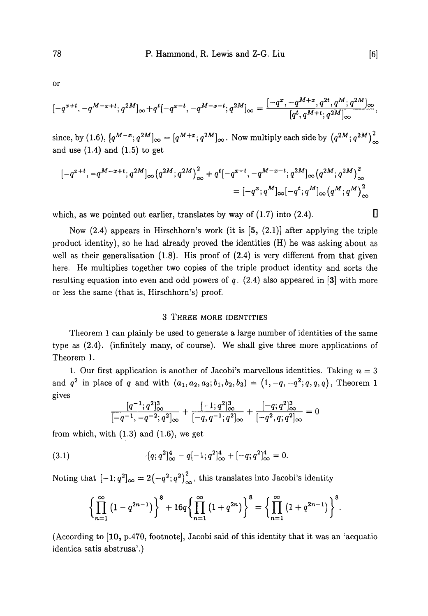or

$$
[-q^{x+t},-q^{M-x+t};q^{2M}]_{\infty}+q^{t}[-q^{x-t},-q^{M-x-t};q^{2M}]_{\infty}=\frac{[-q^{x},-q^{M+x},q^{2t},q^{M};q^{2M}]_{\infty}}{[q^{t},q^{M+t};q^{2M}]_{\infty}},
$$

since, by (1.6),  $[q^{M-x};q^{2M}]_{\infty} = [q^{M+x};q^{2M}]_{\infty}$ . Now multiply each side by  $(q^{2M};q^{2M})_{\infty}^2$ and use  $(1.4)$  and  $(1.5)$  to get

$$
\begin{split} {}[-q^{x+t},-q^{M-x+t};q^{2M}]_\infty\big(q^{2M};q^{2M}\big)^2_\infty +q^t[-q^{x-t},-q^{M-x-t};q^{2M}]_\infty\big(q^{2M};q^{2M}\big)^2_\infty \\ = {}[-q^x;q^M]_\infty\big[-q^t;q^M\big]_\infty\big(q^M;q^M\big)^2_\infty \end{split}
$$

which, as we pointed out earlier, translates by way of  $(1.7)$  into  $(2.4)$ .

Now  $(2.4)$  appears in Hirschhorn's work (it is  $[5, (2.1)]$  after applying the triple product identity), so he had already proved the identities (H) he was asking about as well as their generalisation  $(1.8)$ . His proof of  $(2.4)$  is very different from that given here. He multiplies together two copies of the triple product identity and sorts the resulting equation into even and odd powers of *q.* (2.4) also appeared in [3] with more or less the same (that is, Hirschhorn's) proof.

#### 3 THREE MORE IDENTITIES

Theorem 1 can plainly be used to generate a large number of identities of the same type as (2.4). (infinitely many, of course). We shall give three more applications of Theorem 1.

1. Our first application is another of Jacobi's marvellous identities. Taking  $n = 3$ and  $q^2$  in place of q and with  $(a_1, a_2, a_3; b_1, b_2, b_3) = (1, -q, -q^2; q, q, q)$ , Theorem 1 gives

$$
\frac{[q^{-1};q^{2}]_{\infty}^{3}}{[-q^{-1},-q^{-2};q^{2}]_{\infty}} + \frac{[-1;q^{2}]_{\infty}^{3}}{[-q,q^{-1};q^{2}]_{\infty}} + \frac{[-q;q^{2}]_{\infty}^{3}}{[-q^{2},q;q^{2}]_{\infty}} = 0
$$

from which, with  $(1.3)$  and  $(1.6)$ , we get

(3.1) 
$$
-[q;q^2]_\infty^4 - q[-1;q^2]_\infty^4 + [-q;q^2]_\infty^4 = 0.
$$

Noting that  $[-1; q^2]_{\infty} = 2(-q^2; q^2)^2_{\infty}$ , this translates into Jacobi's identity

$$
\left\{\prod_{n=1}^{\infty} \left(1 - q^{2n-1}\right)\right\}^{8} + 16q \left\{\prod_{n=1}^{\infty} \left(1 + q^{2n}\right)\right\}^{8} = \left\{\prod_{n=1}^{\infty} \left(1 + q^{2n-1}\right)\right\}^{8}.
$$

(According to [10, p.470, footnote], Jacobi said of this identity that it was an 'aequatio identica satis abstrusa'.)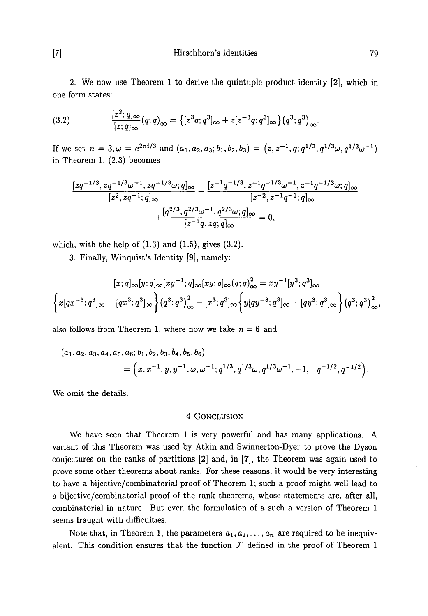[7] Hirschhorn's identities 79

2. We now use Theorem 1 to derive the quintuple product identity [2], which in one form states:

(3.2) 
$$
\frac{[z^2;q]_\infty}{[z;q]_\infty}(q;q)_\infty = \{[z^3q;q^3]_\infty + z[z^{-3}q;q^3]_\infty\}(q^3;q^3)_{\infty}.
$$

If we set  $n = 3, \omega = e^{2\pi i/3}$  and  $(a_1, a_2, a_3; b_1, b_2, b_3) = (z, z^{-1}, q; q^{1/3}, q^{1/3}\omega, q^{1/3}\omega^{-1})$ in Theorem 1, (2.3) becomes

$$
\frac{[zq^{-1/3}, zq^{-1/3}\omega^{-1}, zq^{-1/3}\omega; q]_{\infty}}{[z^2, zq^{-1}; q]_{\infty}} + \frac{[z^{-1}q^{-1/3}, z^{-1}q^{-1/3}\omega^{-1}, z^{-1}q^{-1/3}\omega; q]_{\infty}}{[z^{-2}, z^{-1}q^{-1}; q]_{\infty}} + \frac{[q^{2/3}, q^{2/3}\omega^{-1}, q^{2/3}\omega; q]_{\infty}}{[z^{-1}q, zq; q]_{\infty}} = 0,
$$

which, with the help of  $(1.3)$  and  $(1.5)$ , gives  $(3.2)$ .

3. Finally, Winquist's Identity [9], namely:

$$
[x;q]_{\infty}[y;q]_{\infty}[xy^{-1};q]_{\infty}[xy;q]_{\infty}(q;q)_{\infty}^{2} = xy^{-1}[y^{3};q^{3}]_{\infty}
$$

$$
\left\{x[qx^{-3};q^{3}]_{\infty}-[qx^{3};q^{3}]_{\infty}\right\}(q^{3};q^{3})_{\infty}^{2}-[x^{3};q^{3}]_{\infty}\left\{y[qy^{-3};q^{3}]_{\infty}-[qy^{3};q^{3}]_{\infty}\right\}(q^{3};q^{3})_{\infty}^{2},
$$

also follows from Theorem 1, where now we take  $n = 6$  and

$$
(a_1, a_2, a_3, a_4, a_5, a_6; b_1, b_2, b_3, b_4, b_5, b_6)
$$
  
=  $(x, x^{-1}, y, y^{-1}, \omega, \omega^{-1}; q^{1/3}, q^{1/3}\omega, q^{1/3}\omega^{-1}, -1, -q^{-1/2}, q^{-1/2}).$ 

We omit the details.

#### 4 CONCLUSION

We have seen that Theorem 1 is very powerful and has many applications. A variant of this Theorem was used by Atkin and Swinnerton-Dyer to prove the Dyson conjectures on the ranks of partitions [2] and, in [7], the Theorem was again used to prove some other theorems about ranks. For these reasons, it would be very interesting to have a bijective/combinatorial proof of Theorem 1; such a proof might well lead to a bijective/combinatorial proof of the rank theorems, whose statements are, after all, combinatorial in nature. But even the formulation of a such a version of Theorem 1 seems fraught with difficulties.

Note that, in Theorem 1, the parameters  $a_1, a_2, \ldots, a_n$  are required to be inequivalent. This condition ensures that the function  $\mathcal F$  defined in the proof of Theorem 1